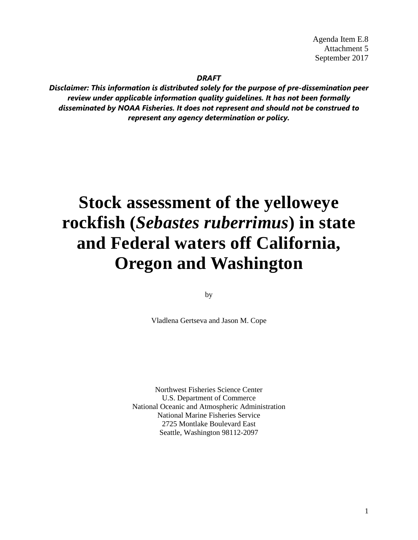Agenda Item E.8 Attachment 5 September 2017

*DRAFT* 

*Disclaimer: This information is distributed solely for the purpose of pre-dissemination peer review under applicable information quality guidelines. It has not been formally disseminated by NOAA Fisheries. It does not represent and should not be construed to represent any agency determination or policy.*

# **Stock assessment of the yelloweye rockfish (***Sebastes ruberrimus***) in state and Federal waters off California, Oregon and Washington**

by

Vladlena Gertseva and Jason M. Cope

Northwest Fisheries Science Center U.S. Department of Commerce National Oceanic and Atmospheric Administration National Marine Fisheries Service 2725 Montlake Boulevard East Seattle, Washington 98112-2097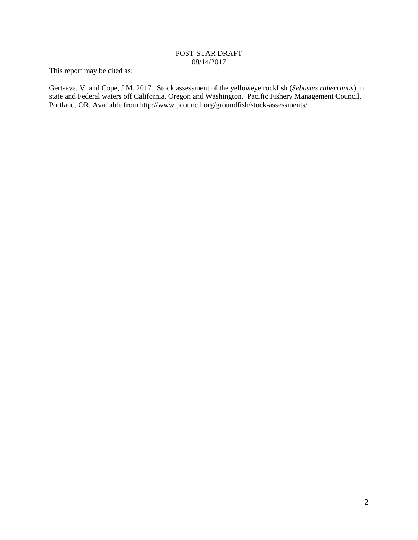#### POST-STAR DRAFT 08/14/2017

This report may be cited as:

Gertseva, V. and Cope, J.M. 2017. Stock assessment of the yelloweye rockfish (*Sebastes ruberrimus*) in state and Federal waters off California, Oregon and Washington. Pacific Fishery Management Council, Portland, OR. Available from http://www.pcouncil.org/groundfish/stock-assessments/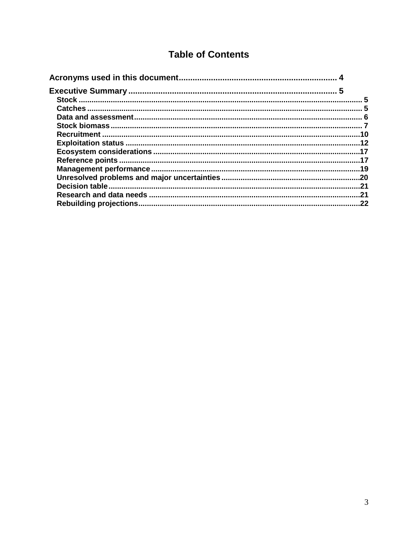# **Table of Contents**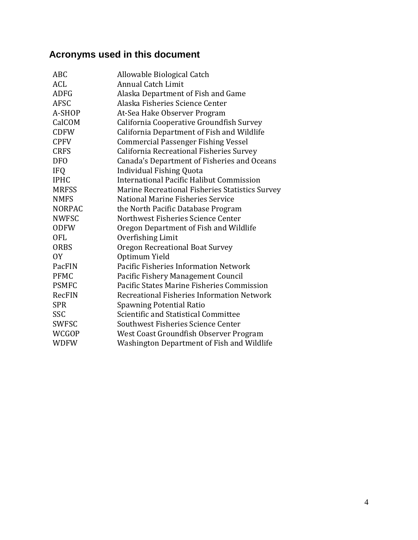# <span id="page-3-0"></span>**Acronyms used in this document**

| <b>ABC</b>    | Allowable Biological Catch                      |
|---------------|-------------------------------------------------|
| <b>ACL</b>    | <b>Annual Catch Limit</b>                       |
| <b>ADFG</b>   | Alaska Department of Fish and Game              |
| <b>AFSC</b>   | Alaska Fisheries Science Center                 |
| A-SHOP        | At-Sea Hake Observer Program                    |
| CalCOM        | California Cooperative Groundfish Survey        |
| <b>CDFW</b>   | California Department of Fish and Wildlife      |
| <b>CPFV</b>   | <b>Commercial Passenger Fishing Vessel</b>      |
| <b>CRFS</b>   | California Recreational Fisheries Survey        |
| <b>DFO</b>    | Canada's Department of Fisheries and Oceans     |
| <b>IFQ</b>    | <b>Individual Fishing Quota</b>                 |
| <b>IPHC</b>   | International Pacific Halibut Commission        |
| <b>MRFSS</b>  | Marine Recreational Fisheries Statistics Survey |
| <b>NMFS</b>   | National Marine Fisheries Service               |
| <b>NORPAC</b> | the North Pacific Database Program              |
| <b>NWFSC</b>  | Northwest Fisheries Science Center              |
| <b>ODFW</b>   | Oregon Department of Fish and Wildlife          |
| <b>OFL</b>    | Overfishing Limit                               |
| <b>ORBS</b>   | Oregon Recreational Boat Survey                 |
| 0Y            | Optimum Yield                                   |
| PacFIN        | <b>Pacific Fisheries Information Network</b>    |
| <b>PFMC</b>   | Pacific Fishery Management Council              |
| <b>PSMFC</b>  | Pacific States Marine Fisheries Commission      |
| <b>RecFIN</b> | Recreational Fisheries Information Network      |
| <b>SPR</b>    | <b>Spawning Potential Ratio</b>                 |
| <b>SSC</b>    | Scientific and Statistical Committee            |
| <b>SWFSC</b>  | Southwest Fisheries Science Center              |
| WCGOP         | West Coast Groundfish Observer Program          |
| <b>WDFW</b>   | Washington Department of Fish and Wildlife      |
|               |                                                 |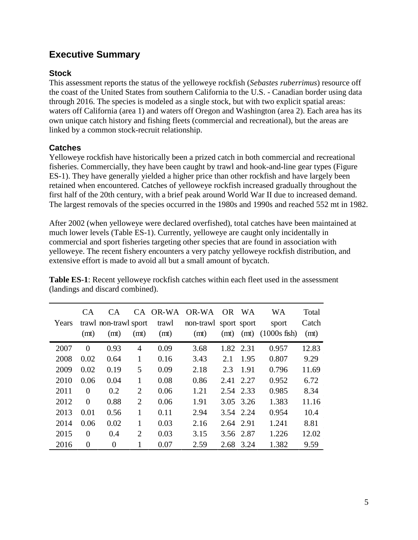# <span id="page-4-0"></span>**Executive Summary**

# <span id="page-4-1"></span>**Stock**

This assessment reports the status of the yelloweye rockfish (*Sebastes ruberrimus*) resource off the coast of the United States from southern California to the U.S. - Canadian border using data through 2016. The species is modeled as a single stock, but with two explicit spatial areas: waters off California (area 1) and waters off Oregon and Washington (area 2). Each area has its own unique catch history and fishing fleets (commercial and recreational), but the areas are linked by a common stock-recruit relationship.

# <span id="page-4-2"></span>**Catches**

Yelloweye rockfish have historically been a prized catch in both commercial and recreational fisheries. Commercially, they have been caught by trawl and hook-and-line gear types (Figure ES-1). They have generally yielded a higher price than other rockfish and have largely been retained when encountered. Catches of yelloweye rockfish increased gradually throughout the first half of the 20th century, with a brief peak around World War II due to increased demand. The largest removals of the species occurred in the 1980s and 1990s and reached 552 mt in 1982.

After 2002 (when yelloweye were declared overfished), total catches have been maintained at much lower levels (Table ES-1). Currently, yelloweye are caught only incidentally in commercial and sport fisheries targeting other species that are found in association with yelloweye. The recent fishery encounters a very patchy yelloweye rockfish distribution, and extensive effort is made to avoid all but a small amount of bycatch.

| Years | CA.<br>(mt) | CA.<br>trawl non-trawl sport<br>(mt) | (mt)           | trawl<br>(mt) | CA OR-WA OR-WA<br>non-trawl sport sport<br>(mt) | OR.<br>(mt) | <b>WA</b><br>(mt) | <b>WA</b><br>sport<br>$(1000s$ fish) | Total<br>Catch<br>(mt) |
|-------|-------------|--------------------------------------|----------------|---------------|-------------------------------------------------|-------------|-------------------|--------------------------------------|------------------------|
| 2007  | $\Omega$    | 0.93                                 | 4              | 0.09          | 3.68                                            | 1.82 2.31   |                   | 0.957                                | 12.83                  |
| 2008  | 0.02        | 0.64                                 | 1              | 0.16          | 3.43                                            | 2.1         | 1.95              | 0.807                                | 9.29                   |
| 2009  | 0.02        | 0.19                                 | 5              | 0.09          | 2.18                                            | 2.3         | 1.91              | 0.796                                | 11.69                  |
| 2010  | 0.06        | 0.04                                 | 1              | 0.08          | 0.86                                            | 2.41        | 2.27              | 0.952                                | 6.72                   |
| 2011  | $\Omega$    | 0.2                                  | $\overline{2}$ | 0.06          | 1.21                                            |             | 2.54 2.33         | 0.985                                | 8.34                   |
| 2012  | $\Omega$    | 0.88                                 | $\overline{2}$ | 0.06          | 1.91                                            | 3.05        | 3.26              | 1.383                                | 11.16                  |
| 2013  | 0.01        | 0.56                                 | 1              | 0.11          | 2.94                                            |             | 3.54 2.24         | 0.954                                | 10.4                   |
| 2014  | 0.06        | 0.02                                 | 1              | 0.03          | 2.16                                            | 2.64 2.91   |                   | 1.241                                | 8.81                   |
| 2015  | $\Omega$    | 0.4                                  | $\overline{2}$ | 0.03          | 3.15                                            |             | 3.56 2.87         | 1.226                                | 12.02                  |
| 2016  | $\Omega$    | $\Omega$                             | 1              | 0.07          | 2.59                                            | 2.68        | 3.24              | 1.382                                | 9.59                   |

**Table ES-1**: Recent yelloweye rockfish catches within each fleet used in the assessment (landings and discard combined).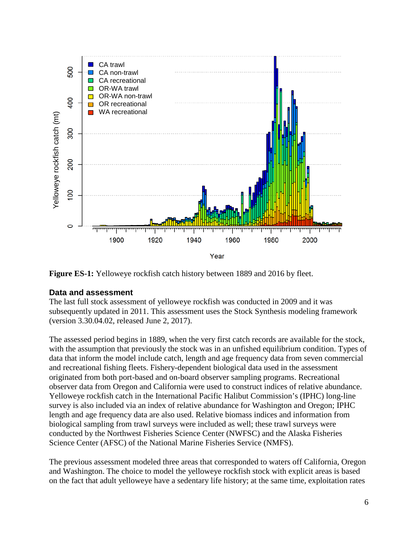

**Figure ES-1:** Yelloweye rockfish catch history between 1889 and 2016 by fleet.

#### <span id="page-5-0"></span>**Data and assessment**

The last full stock assessment of yelloweye rockfish was conducted in 2009 and it was subsequently updated in 2011. This assessment uses the Stock Synthesis modeling framework (version 3.30.04.02, released June 2, 2017).

The assessed period begins in 1889, when the very first catch records are available for the stock, with the assumption that previously the stock was in an unfished equilibrium condition. Types of data that inform the model include catch, length and age frequency data from seven commercial and recreational fishing fleets. Fishery-dependent biological data used in the assessment originated from both port-based and on-board observer sampling programs. Recreational observer data from Oregon and California were used to construct indices of relative abundance. Yelloweye rockfish catch in the International Pacific Halibut Commission's (IPHC) long-line survey is also included via an index of relative abundance for Washington and Oregon; IPHC length and age frequency data are also used. Relative biomass indices and information from biological sampling from trawl surveys were included as well; these trawl surveys were conducted by the Northwest Fisheries Science Center (NWFSC) and the Alaska Fisheries Science Center (AFSC) of the National Marine Fisheries Service (NMFS).

The previous assessment modeled three areas that corresponded to waters off California, Oregon and Washington. The choice to model the yelloweye rockfish stock with explicit areas is based on the fact that adult yelloweye have a sedentary life history; at the same time, exploitation rates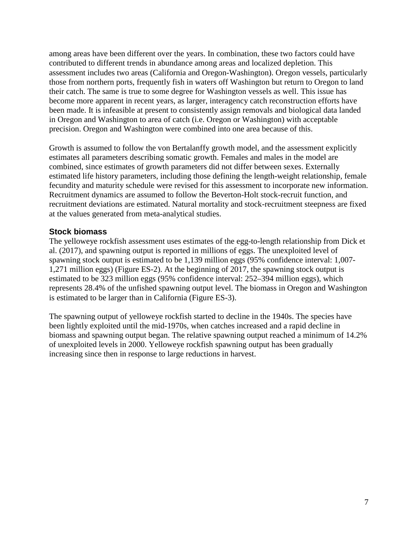among areas have been different over the years. In combination, these two factors could have contributed to different trends in abundance among areas and localized depletion. This assessment includes two areas (California and Oregon-Washington). Oregon vessels, particularly those from northern ports, frequently fish in waters off Washington but return to Oregon to land their catch. The same is true to some degree for Washington vessels as well. This issue has become more apparent in recent years, as larger, interagency catch reconstruction efforts have been made. It is infeasible at present to consistently assign removals and biological data landed in Oregon and Washington to area of catch (i.e. Oregon or Washington) with acceptable precision. Oregon and Washington were combined into one area because of this.

Growth is assumed to follow the von Bertalanffy growth model, and the assessment explicitly estimates all parameters describing somatic growth. Females and males in the model are combined, since estimates of growth parameters did not differ between sexes. Externally estimated life history parameters, including those defining the length-weight relationship, female fecundity and maturity schedule were revised for this assessment to incorporate new information. Recruitment dynamics are assumed to follow the Beverton-Holt stock-recruit function, and recruitment deviations are estimated. Natural mortality and stock-recruitment steepness are fixed at the values generated from meta-analytical studies.

# <span id="page-6-0"></span>**Stock biomass**

The yelloweye rockfish assessment uses estimates of the egg-to-length relationship from Dick et al. (2017), and spawning output is reported in millions of eggs. The unexploited level of spawning stock output is estimated to be 1,139 million eggs (95% confidence interval: 1,007- 1,271 million eggs) (Figure ES-2). At the beginning of 2017, the spawning stock output is estimated to be 323 million eggs (95% confidence interval: 252–394 million eggs), which represents 28.4% of the unfished spawning output level. The biomass in Oregon and Washington is estimated to be larger than in California (Figure ES-3).

The spawning output of yelloweye rockfish started to decline in the 1940s. The species have been lightly exploited until the mid-1970s, when catches increased and a rapid decline in biomass and spawning output began. The relative spawning output reached a minimum of 14.2% of unexploited levels in 2000. Yelloweye rockfish spawning output has been gradually increasing since then in response to large reductions in harvest.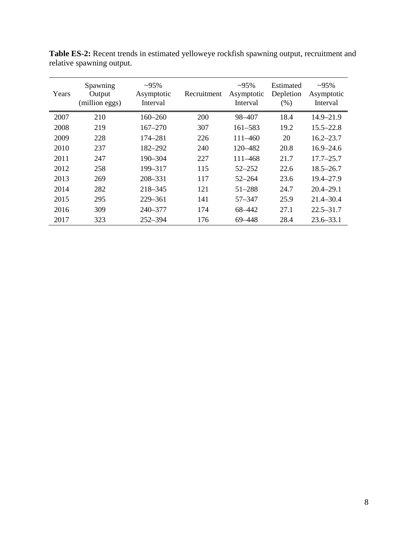| Years | Spawning<br>Output<br>(million eggs) | $\sim 95\%$<br>Asymptotic<br>Interval | Recruitment | $-95%$<br>Asymptotic<br>Interval | Estimated<br>Depletion<br>(% ) | $-95%$<br>Asymptotic<br>Interval |
|-------|--------------------------------------|---------------------------------------|-------------|----------------------------------|--------------------------------|----------------------------------|
| 2007  | 210                                  | $160 - 260$                           | 200         | 98-407                           | 18.4                           | $14.9 - 21.9$                    |
| 2008  | 219                                  | $167 - 270$                           | 307         | 161–583                          | 19.2                           | $15.5 - 22.8$                    |
| 2009  | 228                                  | 174–281                               | 226         | $111 - 460$                      | 20                             | $16.2 - 23.7$                    |
| 2010  | 237                                  | 182–292                               | 240         | 120–482                          | 20.8                           | $16.9 - 24.6$                    |
| 2011  | 247                                  | $190 - 304$                           | 227         | $111 - 468$                      | 21.7                           | $17.7 - 25.7$                    |
| 2012  | 258                                  | 199-317                               | 115         | $52 - 252$                       | 22.6                           | $18.5 - 26.7$                    |
| 2013  | 269                                  | 208-331                               | 117         | $52 - 264$                       | 23.6                           | $19.4 - 27.9$                    |
| 2014  | 282                                  | $218 - 345$                           | 121         | $51 - 288$                       | 24.7                           | $20.4 - 29.1$                    |
| 2015  | 295                                  | $229 - 361$                           | 141         | 57-347                           | 25.9                           | $21.4 - 30.4$                    |
| 2016  | 309                                  | 240–377                               | 174         | 68–442                           | 27.1                           | $22.5 - 31.7$                    |
| 2017  | 323                                  | $252 - 394$                           | 176         | 69–448                           | 28.4                           | $23.6 - 33.1$                    |

**Table ES-2:** Recent trends in estimated yelloweye rockfish spawning output, recruitment and relative spawning output.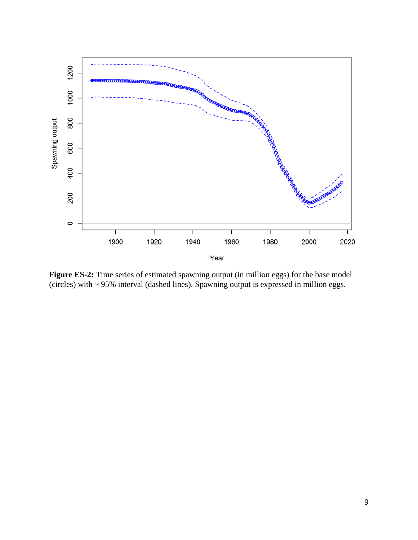

**Figure ES-2:** Time series of estimated spawning output (in million eggs) for the base model (circles) with ~ 95% interval (dashed lines). Spawning output is expressed in million eggs.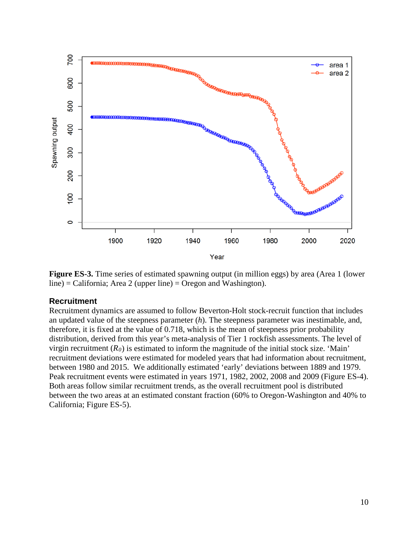

**Figure ES-3.** Time series of estimated spawning output (in million eggs) by area (Area 1 (lower line) = California; Area 2 (upper line) = Oregon and Washington).

#### <span id="page-9-0"></span>**Recruitment**

Recruitment dynamics are assumed to follow Beverton-Holt stock-recruit function that includes an updated value of the steepness parameter (*h*). The steepness parameter was inestimable, and, therefore, it is fixed at the value of 0.718, which is the mean of steepness prior probability distribution, derived from this year's meta-analysis of Tier 1 rockfish assessments. The level of virgin recruitment  $(R_0)$  is estimated to inform the magnitude of the initial stock size. 'Main' recruitment deviations were estimated for modeled years that had information about recruitment, between 1980 and 2015. We additionally estimated 'early' deviations between 1889 and 1979. Peak recruitment events were estimated in years 1971, 1982, 2002, 2008 and 2009 (Figure ES-4). Both areas follow similar recruitment trends, as the overall recruitment pool is distributed between the two areas at an estimated constant fraction (60% to Oregon-Washington and 40% to California; Figure ES-5).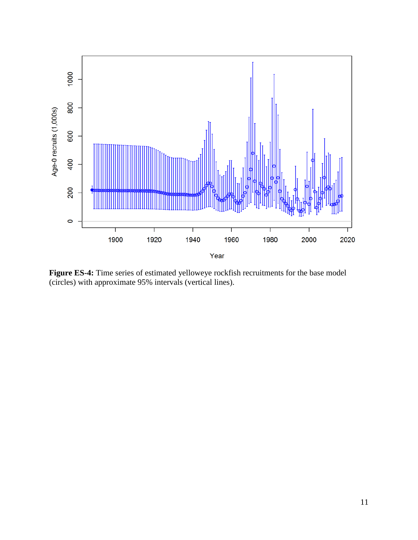

**Figure ES-4:** Time series of estimated yelloweye rockfish recruitments for the base model (circles) with approximate 95% intervals (vertical lines).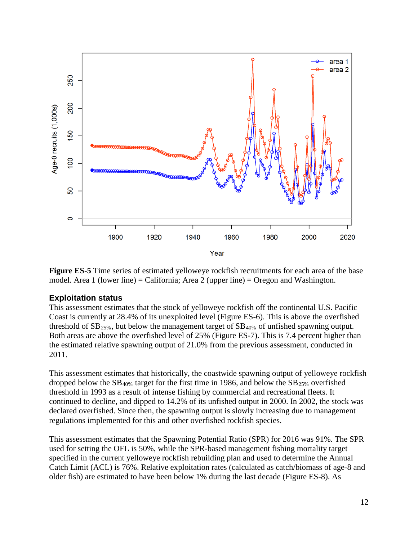

**Figure ES-5** Time series of estimated yelloweye rockfish recruitments for each area of the base model. Area 1 (lower line) = California; Area 2 (upper line) = Oregon and Washington.

# <span id="page-11-0"></span>**Exploitation status**

This assessment estimates that the stock of yelloweye rockfish off the continental U.S. Pacific Coast is currently at 28.4% of its unexploited level (Figure ES-6). This is above the overfished threshold of  $SB_{25\%}$ , but below the management target of  $SB_{40\%}$  of unfished spawning output. Both areas are above the overfished level of 25% (Figure ES-7). This is 7.4 percent higher than the estimated relative spawning output of 21.0% from the previous assessment, conducted in 2011.

This assessment estimates that historically, the coastwide spawning output of yelloweye rockfish dropped below the  $SB_{40\%}$  target for the first time in 1986, and below the  $SB_{25\%}$  overfished threshold in 1993 as a result of intense fishing by commercial and recreational fleets. It continued to decline, and dipped to 14.2% of its unfished output in 2000. In 2002, the stock was declared overfished. Since then, the spawning output is slowly increasing due to management regulations implemented for this and other overfished rockfish species.

This assessment estimates that the Spawning Potential Ratio (SPR) for 2016 was 91%. The SPR used for setting the OFL is 50%, while the SPR-based management fishing mortality target specified in the current yelloweye rockfish rebuilding plan and used to determine the Annual Catch Limit (ACL) is 76%. Relative exploitation rates (calculated as catch/biomass of age-8 and older fish) are estimated to have been below 1% during the last decade (Figure ES-8). As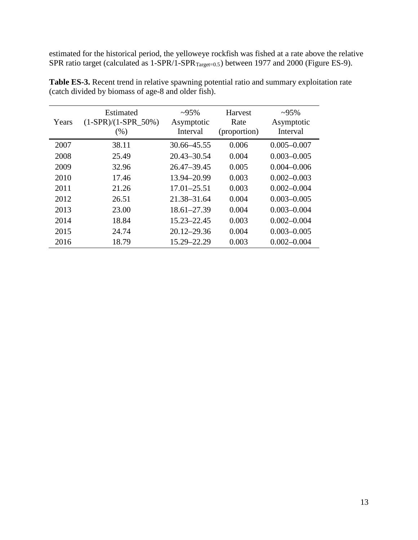estimated for the historical period, the yelloweye rockfish was fished at a rate above the relative SPR ratio target (calculated as 1-SPR/1-SPR<sub>Target=0.5</sub>) between 1977 and 2000 (Figure ES-9).

| Years | Estimated<br>$(1-SPR)/(1-SPR_50%)$<br>$(\%)$ | $\sim 95\%$<br>Asymptotic<br>Interval | <b>Harvest</b><br>Rate<br>(proportion) | $~295\%$<br>Asymptotic<br>Interval |
|-------|----------------------------------------------|---------------------------------------|----------------------------------------|------------------------------------|
| 2007  | 38.11                                        | 30.66 - 45.55                         | 0.006                                  | $0.005 - 0.007$                    |
| 2008  | 25.49                                        | 20.43–30.54                           | 0.004                                  | $0.003 - 0.005$                    |
| 2009  | 32.96                                        | 26.47-39.45                           | 0.005                                  | $0.004 - 0.006$                    |
| 2010  | 17.46                                        | 13.94-20.99                           | 0.003                                  | $0.002 - 0.003$                    |
| 2011  | 21.26                                        | $17.01 - 25.51$                       | 0.003                                  | $0.002 - 0.004$                    |
| 2012  | 26.51                                        | 21.38–31.64                           | 0.004                                  | $0.003 - 0.005$                    |
| 2013  | 23.00                                        | $18.61 - 27.39$                       | 0.004                                  | $0.003 - 0.004$                    |
| 2014  | 18.84                                        | 15.23-22.45                           | 0.003                                  | $0.002 - 0.004$                    |
| 2015  | 24.74                                        | $20.12 - 29.36$                       | 0.004                                  | $0.003 - 0.005$                    |
| 2016  | 18.79                                        | 15.29-22.29                           | 0.003                                  | $0.002 - 0.004$                    |

**Table ES-3.** Recent trend in relative spawning potential ratio and summary exploitation rate (catch divided by biomass of age-8 and older fish).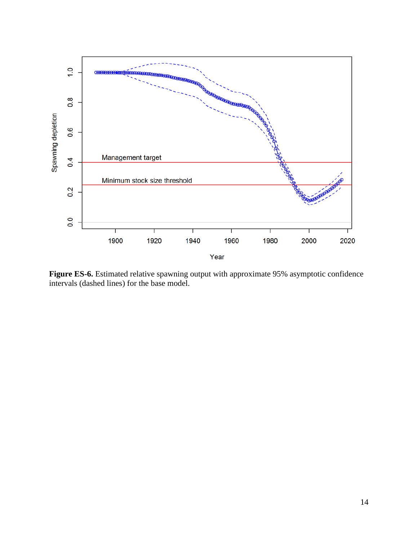

Figure ES-6. Estimated relative spawning output with approximate 95% asymptotic confidence intervals (dashed lines) for the base model.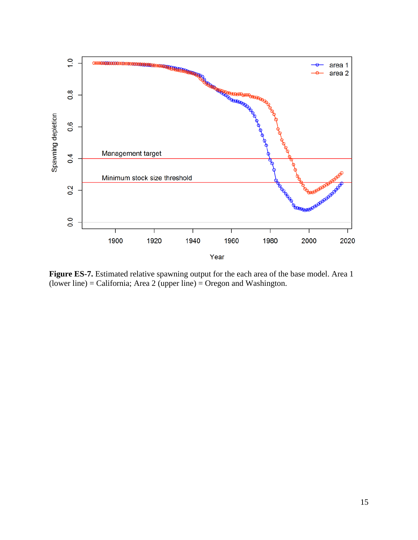

**Figure ES-7.** Estimated relative spawning output for the each area of the base model. Area 1 (lower line) = California; Area 2 (upper line) = Oregon and Washington.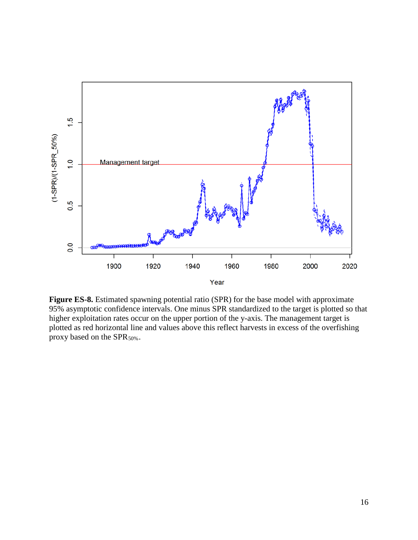

**Figure ES-8.** Estimated spawning potential ratio (SPR) for the base model with approximate 95% asymptotic confidence intervals. One minus SPR standardized to the target is plotted so that higher exploitation rates occur on the upper portion of the y-axis. The management target is plotted as red horizontal line and values above this reflect harvests in excess of the overfishing proxy based on the SPR<sub>50%</sub>.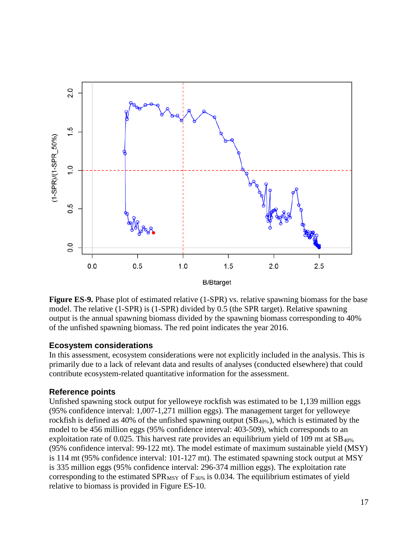

**Figure ES-9.** Phase plot of estimated relative (1-SPR) vs. relative spawning biomass for the base model. The relative (1-SPR) is (1-SPR) divided by 0.5 (the SPR target). Relative spawning output is the annual spawning biomass divided by the spawning biomass corresponding to 40% of the unfished spawning biomass. The red point indicates the year 2016.

# <span id="page-16-0"></span>**Ecosystem considerations**

In this assessment, ecosystem considerations were not explicitly included in the analysis. This is primarily due to a lack of relevant data and results of analyses (conducted elsewhere) that could contribute ecosystem-related quantitative information for the assessment.

# <span id="page-16-1"></span>**Reference points**

Unfished spawning stock output for yelloweye rockfish was estimated to be 1,139 million eggs (95% confidence interval: 1,007-1,271 million eggs). The management target for yelloweye rockfish is defined as 40% of the unfished spawning output  $(SB_{40\%})$ , which is estimated by the model to be 456 million eggs (95% confidence interval: 403-509), which corresponds to an exploitation rate of 0.025. This harvest rate provides an equilibrium yield of 109 mt at  $SB<sub>40%</sub>$ </sub> (95% confidence interval: 99-122 mt). The model estimate of maximum sustainable yield (MSY) is 114 mt (95% confidence interval: 101-127 mt). The estimated spawning stock output at MSY is 335 million eggs (95% confidence interval: 296-374 million eggs). The exploitation rate corresponding to the estimated  $SPR_{MSY}$  of  $F_{36\%}$  is 0.034. The equilibrium estimates of yield relative to biomass is provided in Figure ES-10.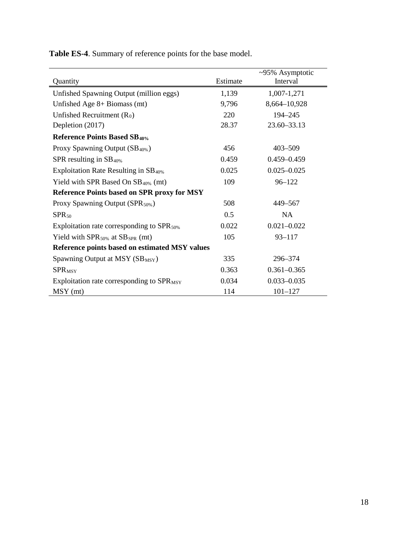**Table ES-4**. Summary of reference points for the base model.

|                                                    |          | ~95% Asymptotic |
|----------------------------------------------------|----------|-----------------|
| Quantity                                           | Estimate | Interval        |
| Unfished Spawning Output (million eggs)            | 1,139    | 1,007-1,271     |
| Unfished Age $8+$ Biomass (mt)                     | 9,796    | 8,664-10,928    |
| Unfished Recruitment $(R_0)$                       | 220      | 194-245         |
| Depletion (2017)                                   | 28.37    | 23.60-33.13     |
| <b>Reference Points Based SB40%</b>                |          |                 |
| Proxy Spawning Output (SB <sub>40%</sub> )         | 456      | $403 - 509$     |
| SPR resulting in $SB_{40\%}$                       | 0.459    | $0.459 - 0.459$ |
| Exploitation Rate Resulting in $SB_{40\%}$         | 0.025    | $0.025 - 0.025$ |
| Yield with SPR Based On $SB40%$ (mt)               | 109      | $96 - 122$      |
| <b>Reference Points based on SPR proxy for MSY</b> |          |                 |
| Proxy Spawning Output (SPR <sub>50%</sub> )        | 508      | 449-567         |
| $SPR_{50}$                                         | 0.5      | <b>NA</b>       |
| Exploitation rate corresponding to $SPR_{50\%}$    | 0.022    | $0.021 - 0.022$ |
| Yield with $SPR_{50\%}$ at $SB_{SPR}$ (mt)         | 105      | $93 - 117$      |
| Reference points based on estimated MSY values     |          |                 |
| Spawning Output at $MSY(SB_{MSY})$                 | 335      | 296-374         |
| <b>SPRMSY</b>                                      | 0.363    | $0.361 - 0.365$ |
| Exploitation rate corresponding to $SPR_{MSY}$     | 0.034    | $0.033 - 0.035$ |
| $MSY$ (mt)                                         | 114      | $101 - 127$     |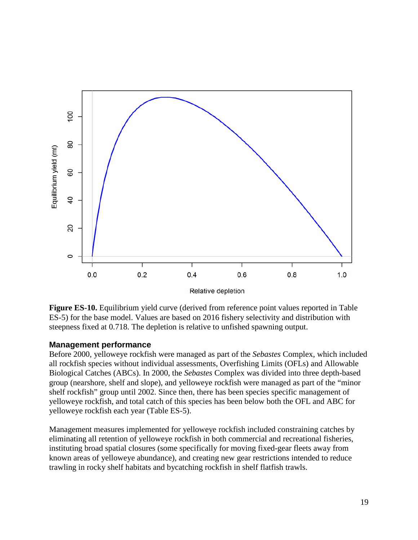

**Figure ES-10.** Equilibrium yield curve (derived from reference point values reported in Table ES-5) for the base model. Values are based on 2016 fishery selectivity and distribution with steepness fixed at 0.718. The depletion is relative to unfished spawning output.

# <span id="page-18-0"></span>**Management performance**

Before 2000, yelloweye rockfish were managed as part of the *Sebastes* Complex, which included all rockfish species without individual assessments, Overfishing Limits (OFLs) and Allowable Biological Catches (ABCs). In 2000, the *Sebastes* Complex was divided into three depth-based group (nearshore, shelf and slope), and yelloweye rockfish were managed as part of the "minor shelf rockfish" group until 2002. Since then, there has been species specific management of yelloweye rockfish, and total catch of this species has been below both the OFL and ABC for yelloweye rockfish each year (Table ES-5).

Management measures implemented for yelloweye rockfish included constraining catches by eliminating all retention of yelloweye rockfish in both commercial and recreational fisheries, instituting broad spatial closures (some specifically for moving fixed-gear fleets away from known areas of yelloweye abundance), and creating new gear restrictions intended to reduce trawling in rocky shelf habitats and bycatching rockfish in shelf flatfish trawls.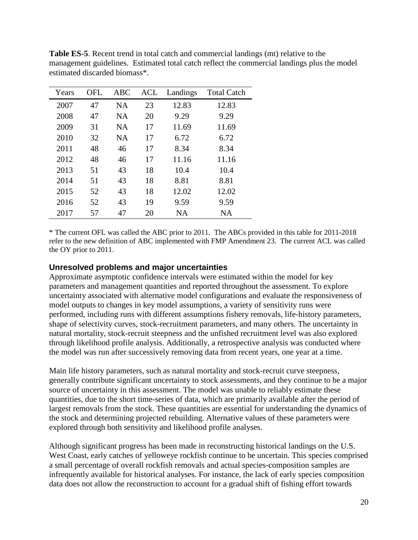| Years | OFL | ABC       | ACL | Landings  | <b>Total Catch</b> |
|-------|-----|-----------|-----|-----------|--------------------|
| 2007  | 47  | <b>NA</b> | 23  | 12.83     | 12.83              |
| 2008  | 47  | <b>NA</b> | 20  | 9.29      | 9.29               |
| 2009  | 31  | <b>NA</b> | 17  | 11.69     | 11.69              |
| 2010  | 32  | <b>NA</b> | 17  | 6.72      | 6.72               |
| 2011  | 48  | 46        | 17  | 8.34      | 8.34               |
| 2012  | 48  | 46        | 17  | 11.16     | 11.16              |
| 2013  | 51  | 43        | 18  | 10.4      | 10.4               |
| 2014  | 51  | 43        | 18  | 8.81      | 8.81               |
| 2015  | 52  | 43        | 18  | 12.02     | 12.02              |
| 2016  | 52  | 43        | 19  | 9.59      | 9.59               |
| 2017  | 57  | 47        | 20  | <b>NA</b> | <b>NA</b>          |

**Table ES-5**. Recent trend in total catch and commercial landings (mt) relative to the management guidelines. Estimated total catch reflect the commercial landings plus the model estimated discarded biomass\*.

\* The current OFL was called the ABC prior to 2011. The ABCs provided in this table for 2011-2018 refer to the new definition of ABC implemented with FMP Amendment 23. The current ACL was called the OY prior to 2011.

# <span id="page-19-0"></span>**Unresolved problems and major uncertainties**

Approximate asymptotic confidence intervals were estimated within the model for key parameters and management quantities and reported throughout the assessment. To explore uncertainty associated with alternative model configurations and evaluate the responsiveness of model outputs to changes in key model assumptions, a variety of sensitivity runs were performed, including runs with different assumptions fishery removals, life-history parameters, shape of selectivity curves, stock-recruitment parameters, and many others. The uncertainty in natural mortality, stock-recruit steepness and the unfished recruitment level was also explored through likelihood profile analysis. Additionally, a retrospective analysis was conducted where the model was run after successively removing data from recent years, one year at a time.

Main life history parameters, such as natural mortality and stock-recruit curve steepness, generally contribute significant uncertainty to stock assessments, and they continue to be a major source of uncertainty in this assessment. The model was unable to reliably estimate these quantities, due to the short time-series of data, which are primarily available after the period of largest removals from the stock. These quantities are essential for understanding the dynamics of the stock and determining projected rebuilding. Alternative values of these parameters were explored through both sensitivity and likelihood profile analyses.

Although significant progress has been made in reconstructing historical landings on the U.S. West Coast, early catches of yelloweye rockfish continue to be uncertain. This species comprised a small percentage of overall rockfish removals and actual species-composition samples are infrequently available for historical analyses. For instance, the lack of early species composition data does not allow the reconstruction to account for a gradual shift of fishing effort towards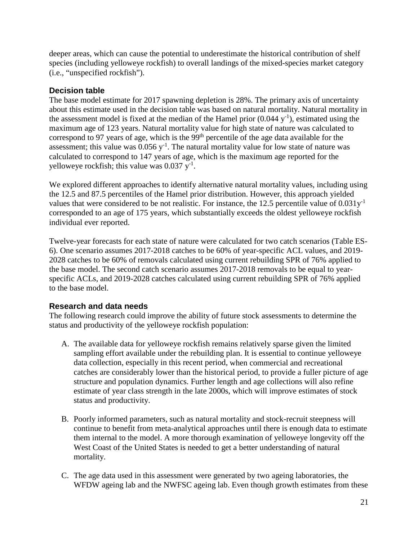deeper areas, which can cause the potential to underestimate the historical contribution of shelf species (including yelloweye rockfish) to overall landings of the mixed-species market category (i.e., "unspecified rockfish").

# <span id="page-20-0"></span>**Decision table**

The base model estimate for 2017 spawning depletion is 28%. The primary axis of uncertainty about this estimate used in the decision table was based on natural mortality. Natural mortality in the assessment model is fixed at the median of the Hamel prior  $(0.044 \text{ y}^{-1})$ , estimated using the maximum age of 123 years. Natural mortality value for high state of nature was calculated to correspond to 97 years of age, which is the  $99<sup>th</sup>$  percentile of the age data available for the assessment; this value was  $0.056$  y<sup>-1</sup>. The natural mortality value for low state of nature was calculated to correspond to 147 years of age, which is the maximum age reported for the yelloweye rockfish; this value was  $0.037$   $y^{-1}$ .

We explored different approaches to identify alternative natural mortality values, including using the 12.5 and 87.5 percentiles of the Hamel prior distribution. However, this approach yielded values that were considered to be not realistic. For instance, the 12.5 percentile value of  $0.031y^{-1}$ corresponded to an age of 175 years, which substantially exceeds the oldest yelloweye rockfish individual ever reported.

Twelve-year forecasts for each state of nature were calculated for two catch scenarios (Table ES-6). One scenario assumes 2017-2018 catches to be 60% of year-specific ACL values, and 2019- 2028 catches to be 60% of removals calculated using current rebuilding SPR of 76% applied to the base model. The second catch scenario assumes 2017-2018 removals to be equal to yearspecific ACLs, and 2019-2028 catches calculated using current rebuilding SPR of 76% applied to the base model.

# <span id="page-20-1"></span>**Research and data needs**

The following research could improve the ability of future stock assessments to determine the status and productivity of the yelloweye rockfish population:

- A. The available data for yelloweye rockfish remains relatively sparse given the limited sampling effort available under the rebuilding plan. It is essential to continue yelloweye data collection, especially in this recent period, when commercial and recreational catches are considerably lower than the historical period, to provide a fuller picture of age structure and population dynamics. Further length and age collections will also refine estimate of year class strength in the late 2000s, which will improve estimates of stock status and productivity.
- B. Poorly informed parameters, such as natural mortality and stock-recruit steepness will continue to benefit from meta-analytical approaches until there is enough data to estimate them internal to the model. A more thorough examination of yelloweye longevity off the West Coast of the United States is needed to get a better understanding of natural mortality.
- C. The age data used in this assessment were generated by two ageing laboratories, the WFDW ageing lab and the NWFSC ageing lab. Even though growth estimates from these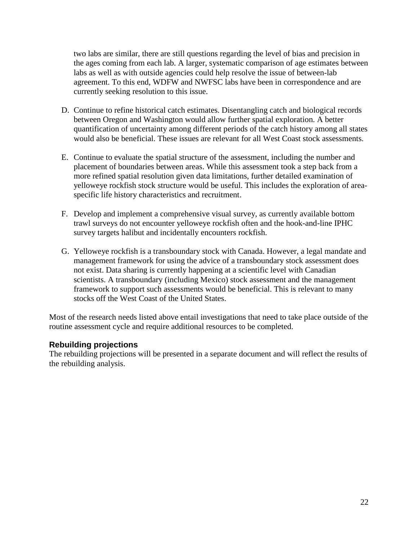two labs are similar, there are still questions regarding the level of bias and precision in the ages coming from each lab. A larger, systematic comparison of age estimates between labs as well as with outside agencies could help resolve the issue of between-lab agreement. To this end, WDFW and NWFSC labs have been in correspondence and are currently seeking resolution to this issue.

- D. Continue to refine historical catch estimates. Disentangling catch and biological records between Oregon and Washington would allow further spatial exploration. A better quantification of uncertainty among different periods of the catch history among all states would also be beneficial. These issues are relevant for all West Coast stock assessments.
- E. Continue to evaluate the spatial structure of the assessment, including the number and placement of boundaries between areas. While this assessment took a step back from a more refined spatial resolution given data limitations, further detailed examination of yelloweye rockfish stock structure would be useful. This includes the exploration of areaspecific life history characteristics and recruitment.
- F. Develop and implement a comprehensive visual survey, as currently available bottom trawl surveys do not encounter yelloweye rockfish often and the hook-and-line IPHC survey targets halibut and incidentally encounters rockfish.
- G. Yelloweye rockfish is a transboundary stock with Canada. However, a legal mandate and management framework for using the advice of a transboundary stock assessment does not exist. Data sharing is currently happening at a scientific level with Canadian scientists. A transboundary (including Mexico) stock assessment and the management framework to support such assessments would be beneficial. This is relevant to many stocks off the West Coast of the United States.

Most of the research needs listed above entail investigations that need to take place outside of the routine assessment cycle and require additional resources to be completed.

# <span id="page-21-0"></span>**Rebuilding projections**

The rebuilding projections will be presented in a separate document and will reflect the results of the rebuilding analysis.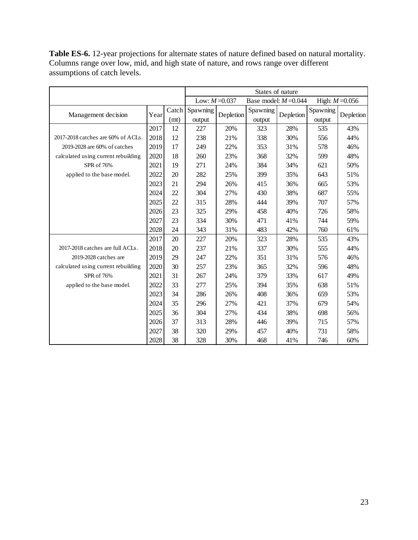|                                     |      |               |                    |           | States of nature        |           |                    |                   |
|-------------------------------------|------|---------------|--------------------|-----------|-------------------------|-----------|--------------------|-------------------|
|                                     |      |               | Low: $M = 0.037$   |           | Base model: $M = 0.044$ |           |                    | High: $M = 0.056$ |
| Management decision                 | Year | Catch<br>(mt) | Spawning<br>output | Depletion | Spawning<br>output      | Depletion | Spawning<br>output | Depletion         |
|                                     | 2017 | 12            | 227                | 20%       | 323                     | 28%       | 535                | 43%               |
| 2017-2018 catches are 60% of ACLs.  | 2018 | 12            | 238                | 21%       | 338                     | 30%       | 556                | 44%               |
| 2019-2028 are 60% of catches        | 2019 | 17            | 249                | 22%       | 353                     | 31%       | 578                | 46%               |
| calculated using current rebuilding | 2020 | 18            | 260                | 23%       | 368                     | 32%       | 599                | 48%               |
| SPR of 76%                          | 2021 | 19            | 271                | 24%       | 384                     | 34%       | 621                | 50%               |
| applied to the base model.          | 2022 | 20            | 282                | 25%       | 399                     | 35%       | 643                | 51%               |
|                                     | 2023 | 21            | 294                | 26%       | 415                     | 36%       | 665                | 53%               |
|                                     | 2024 | 22            | 304                | 27%       | 430                     | 38%       | 687                | 55%               |
|                                     | 2025 | 22            | 315                | 28%       | 444                     | 39%       | 707                | 57%               |
|                                     | 2026 | 23            | 325                | 29%       | 458                     | 40%       | 726                | 58%               |
|                                     | 2027 | 23            | 334                | 30%       | 471                     | 41%       | 744                | 59%               |
|                                     | 2028 | 24            | 343                | 31%       | 483                     | 42%       | 760                | 61%               |
|                                     | 2017 | 20            | 227                | 20%       | 323                     | 28%       | 535                | 43%               |
| 2017-2018 catches are full ACLs.    | 2018 | 20            | 237                | 21%       | 337                     | 30%       | 555                | 44%               |
| 2019-2028 catches are               | 2019 | 29            | 247                | 22%       | 351                     | 31%       | 576                | 46%               |
| calculated using current rebuilding | 2020 | 30            | 257                | 23%       | 365                     | 32%       | 596                | 48%               |
| SPR of 76%                          | 2021 | 31            | 267                | 24%       | 379                     | 33%       | 617                | 49%               |
| applied to the base model.          | 2022 | 33            | 277                | 25%       | 394                     | 35%       | 638                | 51%               |
|                                     | 2023 | 34            | 286                | 26%       | 408                     | 36%       | 659                | 53%               |
|                                     | 2024 | 35            | 296                | 27%       | 421                     | 37%       | 679                | 54%               |
|                                     | 2025 | 36            | 304                | 27%       | 434                     | 38%       | 698                | 56%               |
|                                     | 2026 | 37            | 313                | 28%       | 446                     | 39%       | 715                | 57%               |
|                                     | 2027 | 38            | 320                | 29%       | 457                     | 40%       | 731                | 58%               |
|                                     | 2028 | 38            | 328                | 30%       | 468                     | 41%       | 746                | 60%               |

**Table ES-6.** 12-year projections for alternate states of nature defined based on natural mortality. Columns range over low, mid, and high state of nature, and rows range over different assumptions of catch levels.